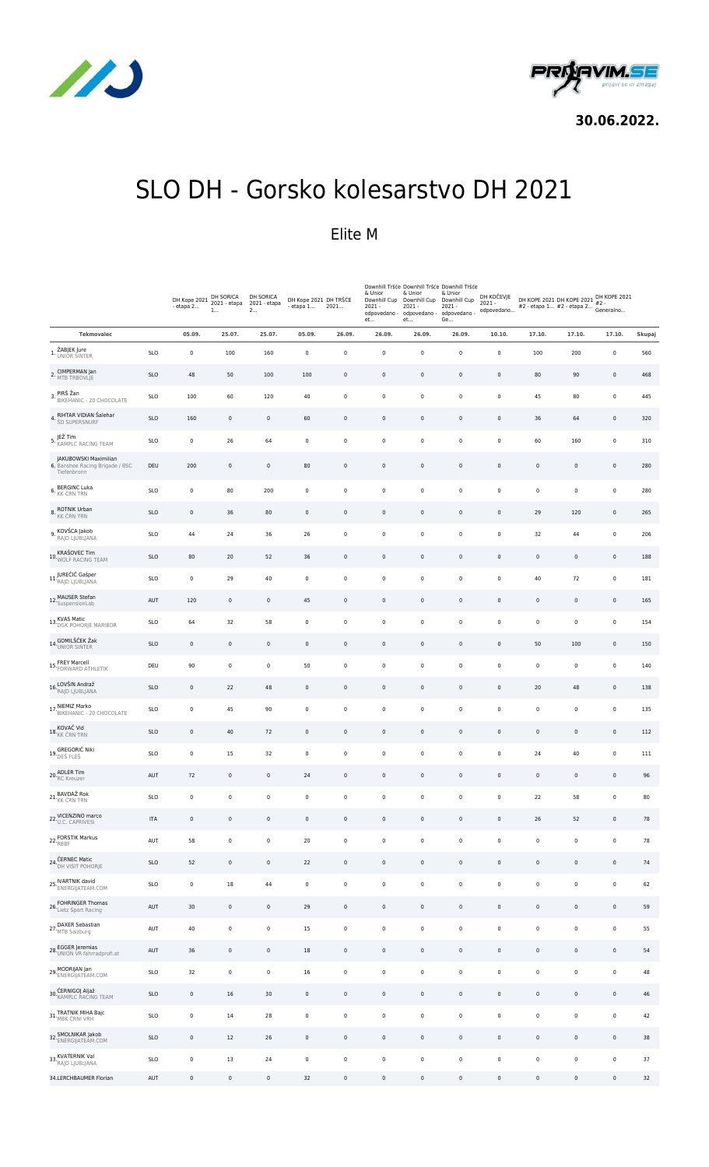



**30.06.2022.**

## SLO DH - Gorsko kolesarstvo DH 2021

### Elite M

|                                                                         |            | DH Kope 2021 DH SORICA<br>- etapa 2 | 1           | DH SORICA<br>2021 - etapa<br>2 | DH Kope 2021 DH TRŠĆE<br>- etapa 1 | 2021         | & Unior<br>Downhill Cup<br>$2021 -$<br>odpovedano -<br>et | & Unior<br>Downhill Cup<br>$2021 -$<br>odpovedano -<br>et | Downhill Tršće Downhill Tršće Downhill Tršće<br>& Unior<br>Downhill Cup<br>$2021 -$<br>odpovedano -<br>Ge | DH KOČEVJE<br>$2021 -$<br>odpovedano | DH KOPE 2021 DH KOPE 2021 DH KOPE 2021<br>#2 - etapa 1 #2 - etapa 2 #2 -<br>#2 - etapa 1 #2 - etapa 2 * 4 <sup>-</sup><br>#2 - etapa 1 #2 - etapa 2 Generalno |                     |             |        |
|-------------------------------------------------------------------------|------------|-------------------------------------|-------------|--------------------------------|------------------------------------|--------------|-----------------------------------------------------------|-----------------------------------------------------------|-----------------------------------------------------------------------------------------------------------|--------------------------------------|---------------------------------------------------------------------------------------------------------------------------------------------------------------|---------------------|-------------|--------|
| <b>Tekmovalec</b>                                                       |            | 05.09.                              | 25.07.      | 25.07.                         | 05.09.                             | 26.09.       | 26.09.                                                    | 26.09.                                                    | 26.09.                                                                                                    | 10.10.                               | 17.10.                                                                                                                                                        | 17.10.              | 17.10.      | Skupaj |
| 1. ŽABJEK Jure<br>UNIOR SINTER                                          | <b>SLO</b> | $\pmb{0}$                           | 100         | 160                            | $\pmb{0}$                          | $\pmb{0}$    | 0                                                         | 0                                                         | $\mathbf 0$                                                                                               | $\pmb{0}$                            | 100                                                                                                                                                           | 200                 | $\pmb{0}$   | 560    |
| 2. CIMPERMAN Jan<br>2. MTB TRBOVLJE                                     | <b>SLO</b> | 48                                  | 50          | 100                            | 100                                | $\mathsf 0$  | $\mathsf 0$                                               | 0                                                         | $\mathsf 0$                                                                                               | $\mathsf 0$                          | 80                                                                                                                                                            | 90                  | $\mathbf 0$ | 468    |
| PIRŠ Žan<br>3. PIKS ARII<br>BIKEHANIC - 20 CHOCOLATE                    | <b>SLO</b> | 100                                 | 60          | 120                            | 40                                 | 0            | 0                                                         | 0                                                         | $\mathbf 0$                                                                                               | $\pmb{0}$                            | 45                                                                                                                                                            | 80                  | $\pmb{0}$   | 445    |
| RIHTAR VIDIAN Šalehar<br>4.<br>ŠD SUPERSNURF                            | <b>SLO</b> | 160                                 | $\pmb{0}$   | $\pmb{0}$                      | 60                                 | $\mathsf 0$  | $\mathsf 0$                                               | 0                                                         | $\mathbf 0$                                                                                               | $\mathsf 0$                          | 36                                                                                                                                                            | 64                  | $\mathbf 0$ | 320    |
| 5. JEŽ Tim<br>5. KAMPLC RACING TEAM                                     | <b>SLO</b> | $\mathbf 0$                         | 26          | 64                             | 0                                  | 0            | 0                                                         | 0                                                         | 0                                                                                                         | $\pmb{0}$                            | 60                                                                                                                                                            | 160                 | $\pmb{0}$   | 310    |
| JAKUBOWSKI Maximilian<br>6. Banshee Racing Brigade / BSC<br>Tiefenbronn | DEU        | 200                                 | $\pmb{0}$   | $\pmb{0}$                      | 80                                 | $\pmb{0}$    | $\mathbf 0$                                               | 0                                                         | $\mathbf 0$                                                                                               | $\mathbf 0$                          | $\pmb{0}$                                                                                                                                                     | $\mathsf 0$         | $\mathbf 0$ | 280    |
| <b>BERGINC Luka</b><br>6. KK ČRN TRN                                    | <b>SLO</b> | $\pmb{0}$                           | 80          | 200                            | $\pmb{0}$                          | $\pmb{0}$    | 0                                                         | 0                                                         | $\pmb{0}$                                                                                                 | $\mathbf 0$                          | $\pmb{0}$                                                                                                                                                     | $\pmb{0}$           | $\pmb{0}$   | 280    |
| 8. ROTNIK Urban<br>KK ČRN TRN                                           | <b>SLO</b> | $\pmb{0}$                           | 36          | 80                             | $\mathbf 0$                        | $\pmb{0}$    | $\mathbf 0$                                               | $\mathsf 0$                                               | $\mathbb O$                                                                                               | $\mathbf 0$                          | 29                                                                                                                                                            | 120                 | $\pmb{0}$   | 265    |
| 9. KOVŠCA Jakob<br>RAJD LJUBLJANA                                       | <b>SLO</b> | 44                                  | 24          | 36                             | 26                                 | 0            | 0                                                         | 0                                                         | $\mathbf 0$                                                                                               | $\pmb{0}$                            | 32                                                                                                                                                            | 44                  | $\pmb{0}$   | 206    |
| 10. KRAŠOVEC Tim<br>10. WOLF RACING TEAM                                | <b>SLO</b> | 80                                  | 20          | 52                             | 36                                 | $\mathsf{0}$ | $\mathbf 0$                                               | 0                                                         | $\mathbf 0$                                                                                               | $\mathsf 0$                          | $\mathbb O$                                                                                                                                                   | $\mathbf 0$         | $\mathbf 0$ | 188    |
| 11. JUREČIČ Gašper<br>RAJD LJUBLJANA                                    | <b>SLO</b> | $\pmb{0}$                           | 29          | 40                             | $\pmb{0}$                          | $\pmb{0}$    | 0                                                         | 0                                                         | $\pmb{0}$                                                                                                 | $\pmb{0}$                            | 40                                                                                                                                                            | 72                  | $\pmb{0}$   | 181    |
| 12. MAUSER Stefan<br>SuspensionLab                                      | AUT        | 120                                 | $\pmb{0}$   | $\mathbf 0$                    | 45                                 | $\pmb{0}$    | 0                                                         | 0                                                         | $\mathbf 0$                                                                                               | $\mathsf 0$                          | $\mathbf 0$                                                                                                                                                   | $\mathbf 0$         | $\mathbf 0$ | 165    |
| 13. KVAS Matic<br>13. DGK POHORJE MARIBOR                               | <b>SLO</b> | 64                                  | 32          | 58                             | $\mathbf 0$                        | $\pmb{0}$    | $\pmb{0}$                                                 | 0                                                         | $\mathbf 0$                                                                                               | $\pmb{0}$                            | $\mathbf 0$                                                                                                                                                   | $\pmb{0}$           | $\pmb{0}$   | 154    |
| 14. GOMILŠČEK Žak                                                       | <b>SLO</b> | $\mathbf 0$                         | $\mathbf 0$ | $\mathbf 0$                    | $\pmb{0}$                          | $\pmb{0}$    | 0                                                         | 0                                                         | 0                                                                                                         | $\mathsf 0$                          | 50                                                                                                                                                            | 100                 | $\mathbf 0$ | 150    |
| 15. FREY Marcell<br>15. FORWARD ATHLETIK                                | DEU        | 90                                  | $\pmb{0}$   | $\pmb{0}$                      | 50                                 | $\pmb{0}$    | $\mathbf 0$                                               | 0                                                         | $\mathbf 0$                                                                                               | $\pmb{0}$                            | $\pmb{0}$                                                                                                                                                     | $\pmb{0}$           | $\pmb{0}$   | 140    |
| 16. LOVŠIN Andraž<br>RAJD LJUBLJANA                                     | <b>SLO</b> | $\pmb{0}$                           | 22          | 48                             | $\pmb{0}$                          | $\mathsf 0$  | $\mathbf 0$                                               | 0                                                         | $\pmb{0}$                                                                                                 | $\mathsf 0$                          | 20                                                                                                                                                            | 48                  | $\mathbf 0$ | 138    |
| 17. NIEMIZ Marko<br>17. BIKEHANIC - 20 CHOCOLATE                        | <b>SLO</b> | $\mathbf 0$                         | 45          | 90                             | 0                                  | 0            | 0                                                         | 0                                                         | $\pmb{0}$                                                                                                 | $\pmb{0}$                            | $\pmb{0}$                                                                                                                                                     | 0                   | $\pmb{0}$   | 135    |
| 18. KOVAČ Vid<br>18. <sub>KK</sub> črn trn                              | <b>SLO</b> | $\pmb{0}$                           | 40          | 72                             | $\mathbf 0$                        | $\pmb{0}$    | $\mathbf 0$                                               | $\mathsf 0$                                               | $\mathbb O$                                                                                               | $\mathbf 0$                          | $\mathbf 0$                                                                                                                                                   | $\mathsf 0$         | $\mathbf 0$ | 112    |
| 19. GREGORIČ Niki                                                       | <b>SLO</b> | $\mathbf 0$                         | 15          | 32                             | 0                                  | 0            | 0                                                         | 0                                                         | 0                                                                                                         | $\pmb{0}$                            | 24                                                                                                                                                            | 40                  | $\pmb{0}$   | 111    |
| 20.ADLER Tim                                                            | AUT        | 72                                  | $\mathbf 0$ | $\pmb{0}$                      | 24                                 | $\pmb{0}$    | $\mathbf 0$                                               | 0                                                         | $\mathbf 0$                                                                                               | $\mathbb O$                          | $\mathbf 0$                                                                                                                                                   | $\mathbb O$         | $\mathbf 0$ | 96     |
| 21. BAVDAŽ Rok<br>KK ČRN TRN                                            | <b>SLO</b> | $\pmb{0}$                           | $\pmb{0}$   | $\pmb{0}$                      | $\pmb{0}$                          | $\pmb{0}$    | 0                                                         | 0                                                         | $\mathbf 0$                                                                                               | $\pmb{0}$                            | 22                                                                                                                                                            | 58                  | $\pmb{0}$   | 80     |
| 22-VICENZINO marco                                                      | <b>ITA</b> | $\mathbf 0$                         | $\pmb{0}$   | $\pmb{0}$                      | $\pmb{0}$                          | $\pmb{0}$    | $\mathbf 0$                                               | 0                                                         | $\mathbb O$                                                                                               | $\mathbb O$                          | 26                                                                                                                                                            | 52                  | $\mathbf 0$ | 78     |
| 22. FORSTIK Markus                                                      | AUT        | 58                                  | $\pmb{0}$   | $\pmb{0}$                      | 20                                 | $\pmb{0}$    | $\mathsf{O}\xspace$                                       | $\mathbf 0$                                               | $\mathbb O$                                                                                               | $\pmb{0}$                            | $\mathbf 0$                                                                                                                                                   | $\mathsf 0$         | $\pmb{0}$   | 78     |
| 24. ČERNEC Matic<br>24. DH VISIT POHORJE                                | <b>SLO</b> | 52                                  | $\mathbb O$ | $\pmb{0}$                      | 22                                 | $\mathsf{0}$ | $\mathbf 0$                                               | 0                                                         | $\mathbf 0$                                                                                               | $\mathbb O$                          | $\mathbf 0$                                                                                                                                                   | $\mathsf{O}\xspace$ | $\mathbf 0$ | 74     |
| 25. IVARTNIK david<br>25. ENERGIJATEAM.COM                              | SLO        | $\pmb{0}$                           | $18\,$      | 44                             | $\pmb{0}$                          | $\mathbf 0$  | $\pmb{0}$                                                 | 0                                                         | $\mathbb O$                                                                                               | $\mathbf 0$                          | $\mathbf 0$                                                                                                                                                   | $\mathsf 0$         | $\pmb{0}$   | 62     |
| 26. FOHRINGER Thomas<br>Lietz Sport Racing                              | AUT        | 30                                  | $\mathbf 0$ | $\mathbf 0$                    | 29                                 | $\mathbf 0$  | $\mathbf 0$                                               | 0                                                         | $\mathbf 0$                                                                                               | $\mathbb O$                          | $\mathbf 0$                                                                                                                                                   | $\mathsf{O}\xspace$ | $\mathbf 0$ | 59     |
| 27. DAXER Sebastian<br>MTB Salzburg                                     | AUT        | 40                                  | $\pmb{0}$   | $\pmb{0}$                      | 15                                 | $\mathbf 0$  | $\mathbf 0$                                               | 0                                                         | $\pmb{0}$                                                                                                 | $\mathbf 0$                          | $\mathbf 0$                                                                                                                                                   | $\mathsf 0$         | $\pmb{0}$   | 55     |
| 28. EGGER Jeremias<br>28. UNION VR fahrradprofi.at                      | AUT        | 36                                  | $\mathbf 0$ | $\pmb{0}$                      | 18                                 | $\pmb{0}$    | $\mathbf 0$                                               | $\mathbf 0$                                               | $\mathbb O$                                                                                               | $\mathbb O$                          | $\mathbf 0$                                                                                                                                                   | $\mathsf 0$         | $\mathbf 0$ | 54     |
| 29. MODRIJAN Jan<br>ENERGIJATEAM.COM                                    | <b>SLO</b> | 32                                  | $\pmb{0}$   | $\pmb{0}$                      | 16                                 | $\mathbf 0$  | $\pmb{0}$                                                 | 0                                                         | $\mathbb O$                                                                                               | $\mathbf 0$                          | $\pmb{0}$                                                                                                                                                     | $\mathsf 0$         | $\pmb{0}$   | 48     |
| 30.ČERNIGOJ Aljaž<br>30.KAMPLC RACING TEAM                              | SLO        | $\pmb{0}$                           | 16          | 30                             | $\pmb{0}$                          | $\pmb{0}$    | $\mathbf 0$                                               | $\mathbf 0$                                               | $\mathbb O$                                                                                               | $\mathbb O$                          | $\mathbb O$                                                                                                                                                   | $\mathsf{O}\xspace$ | $\mathbf 0$ | 46     |
| 31. TRATNIK MIHA Bajc<br>MBK ČRNI VRH                                   | <b>SLO</b> | $\pmb{0}$                           | 14          | 28                             | $\mathbf 0$                        | $\pmb{0}$    | $\pmb{0}$                                                 | 0                                                         | $\pmb{0}$                                                                                                 | $\mathbf 0$                          | $\pmb{0}$                                                                                                                                                     | $\mathsf 0$         | $\pmb{0}$   | 42     |
| 32. SMOLNIKAR Jakob<br>ENERGIJATEAM.COM                                 | SLO        | $\mathbf 0$                         | $12$        | 26                             | $\mathbf 0$                        | $\pmb{0}$    | $\mathbf 0$                                               | 0                                                         | $\mathbb O$                                                                                               | $\mathbb O$                          | $\mathbf 0$                                                                                                                                                   | $\mathsf 0$         | $\mathbf 0$ | 38     |
| 33. KVATERNIK Val<br>RAJD LJUBLJANA                                     | <b>SLO</b> | $\pmb{0}$                           | 13          | 24                             | $\pmb{0}$                          | $\pmb{0}$    | $\pmb{0}$                                                 | $\mathbf 0$                                               | $\mathbb O$                                                                                               | $\pmb{0}$                            | $\mathbf 0$                                                                                                                                                   | $\mathsf 0$         | $\pmb{0}$   | 37     |
| 34.LERCHBAUMER Florian                                                  | AUT        | $\pmb{0}$                           | $\mathbf 0$ | $\mathbf 0$                    | 32                                 | $\mathsf{0}$ | $\mathbf 0$                                               | $\mathsf{O}\xspace$                                       | $\mathbf 0$                                                                                               | $\mathsf 0$                          | $\mathbb O$                                                                                                                                                   | $\mathsf{O}\xspace$ | $\mathbf 0$ | 32     |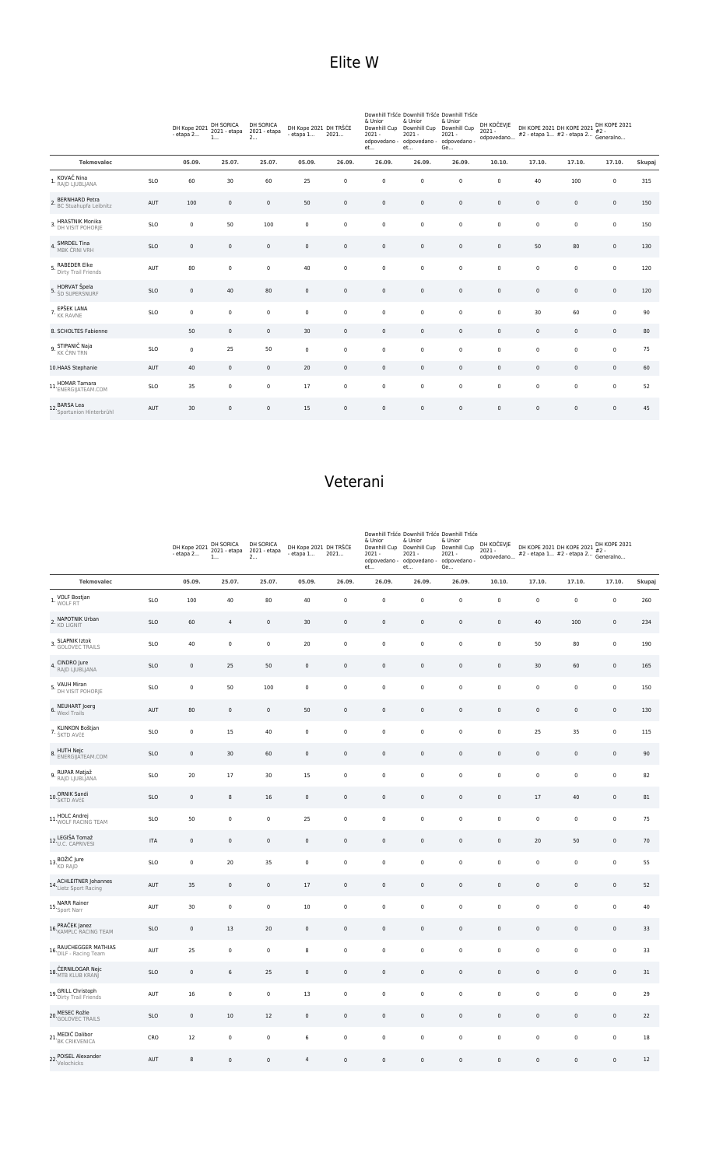|                           |                           |                                     | <b>Elite</b> W |                  |                                                            |                                                                  |                   |
|---------------------------|---------------------------|-------------------------------------|----------------|------------------|------------------------------------------------------------|------------------------------------------------------------------|-------------------|
|                           |                           |                                     |                |                  |                                                            |                                                                  |                   |
| DH SORICA<br>2021 - etapa | DH SORICA<br>2021 - etapa | DH Kope 2021 DH TRŠĆE<br>$-1 - - -$ | 2021           | & Unior<br>בר מר | & Unior<br>Downhill Cup Downhill Cup Downhill Cup<br>בר מר | Downhill Tršće Downhill Tršće Downhill Tršće<br>& Unior<br>י במר | DH KO<br>$2021 -$ |

|                                               |            | DH Kope 2021<br>- etapa 2 | DH SORICA<br>2021 - etapa<br>1 | DH SORICA<br>2021 - etapa<br>2 | DH Kope 2021 DH TRŠĆE<br>$-$ etapa $1$ | 2021        | $\alpha$ of $\alpha$<br>Downhill Cup<br>$2021 -$<br>odpovedano -<br>et | 0.01101<br>Downhill Cup<br>$2021 -$<br>odpovedano -<br>et | $\alpha$ or $\alpha$<br>Downhill Cup<br>$2021 -$<br>odpovedano -<br>Ge | DH KOCEVJE<br>$2021 -$<br>odpovedano | DH KOPE 2021 DH KOPE 2021 PH NUPE 202<br>#2 - etapa 1 #2 - etapa 2 Generalno |                     | DH KOPE 2021 |        |
|-----------------------------------------------|------------|---------------------------|--------------------------------|--------------------------------|----------------------------------------|-------------|------------------------------------------------------------------------|-----------------------------------------------------------|------------------------------------------------------------------------|--------------------------------------|------------------------------------------------------------------------------|---------------------|--------------|--------|
| <b>Tekmovalec</b>                             |            | 05.09.                    | 25.07.                         | 25.07.                         | 05.09.                                 | 26.09.      | 26.09.                                                                 | 26.09.                                                    | 26.09.                                                                 | 10.10.                               | 17.10.                                                                       | 17.10.              | 17.10.       | Skupaj |
| 1. KOVAČ Nina<br>1. <sub>RAJD LJUBLJANA</sub> | <b>SLO</b> | 60                        | 30                             | 60                             | 25                                     | $\mathsf 0$ | $\mathbf 0$                                                            | 0                                                         | $\mathbf 0$                                                            | $\mathbf 0$                          | 40                                                                           | 100                 | $\pmb{0}$    | 315    |
| 2. BERNHARD Petra<br>BC Stuahupfa Leibnitz    | AUT        | 100                       | $\mathbf 0$                    | $\mathsf 0$                    | 50                                     | $\pmb{0}$   | $\mathsf 0$                                                            | 0                                                         | $\mathsf 0$                                                            | $\mathsf 0$                          | $\mathbb O$                                                                  | $\mathsf 0$         | $\mathbf 0$  | 150    |
| 3. HRASTNIK Monika                            | SLO        | $\mathbf 0$               | 50                             | 100                            | $\mathsf 0$                            | $\mathbf 0$ | $\mathsf 0$                                                            | 0                                                         | $\mathbb O$                                                            | $\mathbf 0$                          | $\mathbf 0$                                                                  | $\mathsf 0$         | $\mathbf 0$  | 150    |
| 4. SMRDEL Tina<br>MBK ČRNI VRH                | <b>SLO</b> | $\mathsf 0$               | $\mathbf 0$                    | $\mathsf 0$                    | $\mathsf 0$                            | $\mathbf 0$ | $\mathsf 0$                                                            | 0                                                         | $\mathsf 0$                                                            | $\mathbf 0$                          | 50                                                                           | 80                  | $\mathbf 0$  | 130    |
| 5. RABEDER Elke<br>Dirty Trail Friends        | AUT        | 80                        | $\mathbf 0$                    | $\mathbf 0$                    | 40                                     | $\mathsf 0$ | $\mathbf 0$                                                            | 0                                                         | $\mathbf 0$                                                            | $\mathbf 0$                          | $\mathbf 0$                                                                  | $\mathbf 0$         | $\mathbf 0$  | 120    |
| 5. HORVAT Špela<br>5. ŠD SUPERSNURF           | SLO        | $\pmb{0}$                 | 40                             | 80                             | $\mathbf 0$                            | $\pmb{0}$   | $\mathsf 0$                                                            | 0                                                         | $\mathbb O$                                                            | $\mathbf 0$                          | $\mathbb O$                                                                  | $\mathsf{O}\xspace$ | $\mathbf 0$  | 120    |
| 7. EPŠEK LANA<br>KK RAVNE                     | SLO        | $\mathbf 0$               | $\mathbf 0$                    | $\mathbf 0$                    | $\mathbf 0$                            | $\mathbf 0$ | $\mathbf 0$                                                            | 0                                                         | $\mathbf 0$                                                            | $\mathsf 0$                          | 30                                                                           | 60                  | $\mathbf 0$  | 90     |
| 8. SCHOLTES Fabienne                          |            | 50                        | $\mathbf 0$                    | $\mathsf 0$                    | 30                                     | $\pmb{0}$   | $\mathsf 0$                                                            | 0                                                         | $\mathbb O$                                                            | $\mathsf 0$                          | $\mathbb O$                                                                  | $\mathsf{O}\xspace$ | $\mathbf 0$  | 80     |
| 9. STIPANIČ Naja                              | SLO        | $\mathbf 0$               | 25                             | 50                             | $\mathsf 0$                            | $\mathbf 0$ | $\mathbf 0$                                                            | 0                                                         | $\mathbb O$                                                            | $\mathsf 0$                          | $\mathbf 0$                                                                  | $\mathsf 0$         | $\mathbf 0$  | 75     |
| 10.HAAS Stephanie                             | AUT        | 40                        | $\mathsf 0$                    | $\mathsf 0$                    | 20                                     | $\mathbf 0$ | $\mathsf 0$                                                            | 0                                                         | $\mathbb O$                                                            | $\mathsf 0$                          | $\mathbb O$                                                                  | $\mathsf{O}\xspace$ | $\mathbb O$  | 60     |
| 11. HOMAR Tamara<br>11. ENERGIJATEAM.COM      | <b>SLO</b> | 35                        | $\mathbf 0$                    | 0                              | 17                                     | $\mathbf 0$ | $\mathbf 0$                                                            | 0                                                         | $\mathbb O$                                                            | $\mathsf 0$                          | $\mathbf 0$                                                                  | $\mathbf 0$         | $\mathbf 0$  | 52     |
| 12. BARSA Lea<br>12. Sportunion Hinterbrühl   | AUT        | 30                        | $\mathbf 0$                    | $\mathsf 0$                    | 15                                     | $\mathbf 0$ | $\mathbf 0$                                                            | 0                                                         | $\mathsf 0$                                                            | $\mathsf 0$                          | $\mathbb O$                                                                  | $\mathsf 0$         | $\pmb{0}$    | 45     |

### Veterani

|                                                                   |            | DH Kope 2021<br>- etapa 2 | DH SORICA<br>2021 - etapa<br>1 | DH SORICA<br>2021 - etapa<br>2 | DH Kope 2021 DH TRŠĆE<br>$-$ etapa $1$ | 2021        | & Unior<br>Downhill Cup<br>$2021 -$<br>odpovedano -<br>et | Downhill Tršće Downhill Tršće Downhill Tršće<br>& Unior<br>Downhill Cup<br>$2021 -$<br>odpovedano -<br>et | & Unior<br>Downhill Cup<br>$2021 -$<br>odpovedano -<br>Ge | DH KOČEVJE<br>$2021 -$<br>odpovedano | DH KOPE 2021 DH KOPE 2021 DH KOPE 2021<br>#2 - etapa 1 #2 - etapa 2 |             | Generalno           |        |
|-------------------------------------------------------------------|------------|---------------------------|--------------------------------|--------------------------------|----------------------------------------|-------------|-----------------------------------------------------------|-----------------------------------------------------------------------------------------------------------|-----------------------------------------------------------|--------------------------------------|---------------------------------------------------------------------|-------------|---------------------|--------|
| <b>Tekmovalec</b>                                                 |            | 05.09.                    | 25.07.                         | 25.07.                         | 05.09.                                 | 26.09.      | 26.09.                                                    | 26.09.                                                                                                    | 26.09.                                                    | 10.10.                               | 17.10.                                                              | 17.10.      | 17.10.              | Skupaj |
| VOLF Bostjan<br>1. WOLF RT                                        | <b>SLO</b> | 100                       | 40                             | 80                             | 40                                     | $\mathbf 0$ | $\pmb{0}$                                                 | $\mathbf 0$                                                                                               | $\pmb{0}$                                                 | $\pmb{0}$                            | $\mathbf 0$                                                         | $\mathbf 0$ | $\mathbf 0$         | 260    |
| 2. NAPOTNIK Urban<br><b>KD LIGNIT</b>                             | <b>SLO</b> | 60                        | $\overline{4}$                 | $\mathsf 0$                    | 30                                     | $\mathsf 0$ | $\pmb{0}$                                                 | $\mathsf 0$                                                                                               | $\mathsf 0$                                               | $\mathsf 0$                          | 40                                                                  | 100         | $\mathsf 0$         | 234    |
| <b>SLAPNIK Iztok</b><br>3. GOLOVEC TRAILS                         | <b>SLO</b> | 40                        | $\pmb{0}$                      | $\mathsf 0$                    | 20                                     | $\pmb{0}$   | $\pmb{0}$                                                 | $\pmb{0}$                                                                                                 | $\pmb{0}$                                                 | $\mathbf 0$                          | 50                                                                  | 80          | $\pmb{0}$           | 190    |
| 4. CINDRO Jure<br>RAJD LJUBLJANA                                  | SLO        | $\pmb{0}$                 | 25                             | 50                             | $\mathbb O$                            | $\mathbf 0$ | $\pmb{0}$                                                 | $\mathbf 0$                                                                                               | $\mathbf 0$                                               | $\mathbf 0$                          | 30                                                                  | 60          | $\mathbf 0$         | 165    |
| 5. VAUH Miran<br>DH VISIT POHORJE                                 | SLO        | $\pmb{0}$                 | 50                             | 100                            | $\pmb{0}$                              | $\pmb{0}$   | $\pmb{0}$                                                 | $\pmb{0}$                                                                                                 | $\pmb{0}$                                                 | $\mathbf 0$                          | $\pmb{0}$                                                           | $\mathbf 0$ | $\pmb{0}$           | 150    |
| 6. NEUHART Joerg<br>Wexl Trails                                   | AUT        | 80                        | $\mathbf 0$                    | $\mathsf 0$                    | 50                                     | $\mathsf 0$ | $\mathbf 0$                                               | $\mathbf 0$                                                                                               | $\mathsf 0$                                               | $\mathbf 0$                          | $\mathbb O$                                                         | $\mathsf 0$ | $\mathsf 0$         | 130    |
| 7. KLINKON Boštjan                                                | <b>SLO</b> | $\mathbf 0$               | 15                             | 40                             | $\mathbf 0$                            | $\pmb{0}$   | $\mathbf 0$                                               | $\pmb{0}$                                                                                                 | $\mathsf 0$                                               | $\mathbf 0$                          | 25                                                                  | 35          | $\mathsf 0$         | 115    |
| HUTH Nejc<br>8. ENERGIJATEAM.COM                                  | <b>SLO</b> | $\mathsf 0$               | 30                             | 60                             | $\mathbf 0$                            | $\mathbf 0$ | $\mathbf 0$                                               | $\mathbf 0$                                                                                               | $\mathsf 0$                                               | $\mathsf 0$                          | $\mathsf 0$                                                         | $\mathsf 0$ | $\mathsf 0$         | 90     |
| RUPAR Matjaž<br>9. RAJD LJUBLJANA                                 | SLO        | $20\,$                    | 17                             | 30                             | 15                                     | $\pmb{0}$   | $\pmb{0}$                                                 | $\pmb{0}$                                                                                                 | $\pmb{0}$                                                 | $\pmb{0}$                            | $\pmb{0}$                                                           | $\mathbf 0$ | $\pmb{0}$           | 82     |
| 10. ORNIK Sandi                                                   | SLO        | $\pmb{0}$                 | 8                              | 16                             | $\pmb{0}$                              | $\mathbf 0$ | $\pmb{0}$                                                 | $\mathbf 0$                                                                                               | $\pmb{0}$                                                 | $\mathbf 0$                          | 17                                                                  | 40          | $\mathbf 0$         | 81     |
| HOLC Andrej<br>11. WOLF RACING TEAM                               | <b>SLO</b> | 50                        | $\mathbf 0$                    | 0                              | 25                                     | $\pmb{0}$   | $\mathbf 0$                                               | $\pmb{0}$                                                                                                 | 0                                                         | $\pmb{0}$                            | $\mathbf 0$                                                         | $\mathbf 0$ | $\mathbf 0$         | 75     |
| 12.LEGIŠA Tomaž<br>U.C. CAPRIVESI                                 | ITA        | $\mathbf 0$               | $\mathbf 0$                    | 0                              | $\mathbf 0$                            | $\pmb{0}$   | $\pmb{0}$                                                 | $\mathbf 0$                                                                                               | 0                                                         | $\mathbf 0$                          | 20                                                                  | 50          | $\mathsf{O}\xspace$ | 70     |
| $13\underset{\text{K}\text{D}}{\text{BOZI}\check{\text{C}}}$ Jure | <b>SLO</b> | $\mathbf 0$               | 20                             | 35                             | $\mathbf 0$                            | $\pmb{0}$   | $\pmb{0}$                                                 | $\pmb{0}$                                                                                                 | $\pmb{0}$                                                 | $\pmb{0}$                            | $\pmb{0}$                                                           | $\mathbf 0$ | $\mathbf 0$         | 55     |
| 14. ACHLEITNER Johannes<br>14. Lietz Sport Racing                 | AUT        | 35                        | $\pmb{0}$                      | $\mathsf{O}\xspace$            | 17                                     | $\mathbf 0$ | $\pmb{0}$                                                 | $\mathbf 0$                                                                                               | $\mathbf 0$                                               | $\mathbf 0$                          | $\mathbb O$                                                         | $\mathbf 0$ | $\mathbf 0$         | 52     |
| 15. NARR Rainer<br>Sport Narr                                     | AUT        | 30                        | $\pmb{0}$                      | 0                              | 10                                     | $\pmb{0}$   | $\pmb{0}$                                                 | $\mathbf 0$                                                                                               | $\pmb{0}$                                                 | $\pmb{0}$                            | $\pmb{0}$                                                           | $\mathbf 0$ | $\mathbf 0$         | 40     |
| 16. PRAČEK Janez<br>16. KAMPLC RACING TEAM                        | <b>SLO</b> | $\pmb{0}$                 | 13                             | 20                             | $\mathbb O$                            | $\mathbf 0$ | $\pmb{0}$                                                 | $\mathbf 0$                                                                                               | $\mathbf 0$                                               | $\mathbf 0$                          | $\mathbb O$                                                         | $\mathsf 0$ | $\mathbf 0$         | 33     |
| 16. RAUCHEGGER MATHIAS<br>DILF - Racing Team                      | AUT        | 25                        | $\mathbf 0$                    | 0                              | 8                                      | $\pmb{0}$   | $\pmb{0}$                                                 | 0                                                                                                         | $\pmb{0}$                                                 | $\pmb{0}$                            | 0                                                                   | $\,0\,$     | $\mathbf 0$         | 33     |
| 18. ČERNILOGAR Nejc<br>MTB KLUB KRANJ                             | SLO        | $\pmb{0}$                 | 6                              | 25                             | $\pmb{0}$                              | $\pmb{0}$   | $\pmb{0}$                                                 | $\mathbf 0$                                                                                               | $\pmb{0}$                                                 | $\mathbf 0$                          | $\mathbf 0$                                                         | $\mathsf 0$ | $\mathsf{O}\xspace$ | 31     |
| 19. GRILL Christoph<br>19. Dirty Trail Friends                    | AUT        | 16                        | $\pmb{0}$                      | 0                              | 13                                     | $\pmb{0}$   | $\pmb{0}$                                                 | $\pmb{0}$                                                                                                 | 0                                                         | 0                                    | $\pmb{0}$                                                           | $\,0\,$     | $\pmb{0}$           | 29     |
| 20. MESEC Rožie<br>CGOLOVEC TRAILS                                | <b>SLO</b> | $\mathsf 0$               | 10                             | 12                             | $\mathbf 0$                            | $\mathbf 0$ | $\mathbf 0$                                               | $\mathbf 0$                                                                                               | $\mathsf 0$                                               | $\mathbf 0$                          | $\mathbb O$                                                         | $\mathsf 0$ | $\mathsf 0$         | 22     |
| 21. MEDIĆ Dalibor<br>21. BK CRIKVENICA                            | CRO        | 12                        | $\pmb{0}$                      | $\mathsf 0$                    | 6                                      | $\mathbf 0$ | $\mathbf 0$                                               | $\mathbf 0$                                                                                               | $\pmb{0}$                                                 | $\mathbf 0$                          | $\mathbf 0$                                                         | $\mathbf 0$ | $\mathsf{O}\xspace$ | 18     |
| 22. POISEL Alexander                                              | AUT        | 8                         | $\pmb{0}$                      | $\pmb{0}$                      | $\overline{a}$                         | $\pmb{0}$   | $\pmb{0}$                                                 | $\mathbf{0}$                                                                                              | $\pmb{0}$                                                 | $\mathbf 0$                          | $\pmb{0}$                                                           | $\pmb{0}$   | $\mathsf{O}\xspace$ | 12     |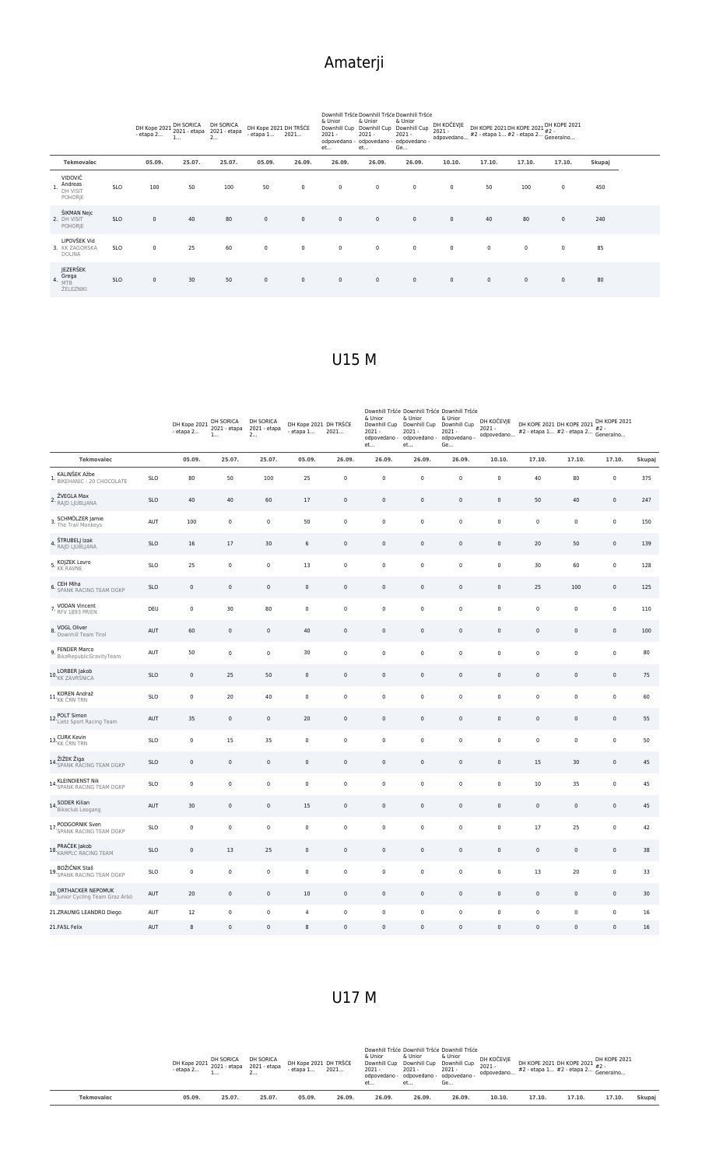|                   | - etapa 2 |       | DH Kope 2021 DH SORICA DH SORICA<br>otana 2021 - 2021 - etapa 2021 - etapa |        |        | & Unior<br>et | & Unior<br>odpovedano - odpovedano - odpovedano -<br>et | Downhill Tršće Downhill Tršće Downhill Tršće<br>& Unior<br>Ge |        | #2 - etapa 1 #2 - etapa 2 #2 -<br>Generalno |        |        |               |
|-------------------|-----------|-------|----------------------------------------------------------------------------|--------|--------|---------------|---------------------------------------------------------|---------------------------------------------------------------|--------|---------------------------------------------|--------|--------|---------------|
| <b>Tekmovalec</b> | 05.09     | 25.07 | 25.07.                                                                     | 05.09. | 26.09. | 26.09.        | 26.09.                                                  | 26.09.                                                        | 10.10. | 17.10.                                      | 17.10. | 17.10. | <b>Skupai</b> |

## U17 M

|                                                        |            | DH Kope 2021 DH 301110.<br>- etapa 2 | 1           | DH SORICA<br>2021 - etapa<br>2 | DH Kope 2021 DH TRŠĆE<br>$-$ etapa $1$ | 2021.       | & Unior<br>Downhill Cup<br>$2021 -$<br>odpovedano -<br>et | Downhill Tršće Downhill Tršće Downhill Tršće<br>& Unior<br>Downhill Cup<br>2021<br>odpovedano -<br>et | & Unior<br>Downhill Cup<br>$2021 -$<br>odpovedano -<br>Ge | DH KOČEVJE<br>$2021 -$<br>odpovedano | DH KOPE 2021 DH KOPE 2021 DH KOPE 2021<br>#2 - etapa 1 #2 - etapa 2 #2 -<br>#2 - etapa 1 #2 - etapa 2 $\frac{m}{2}$ - Generalno |             |             |        |
|--------------------------------------------------------|------------|--------------------------------------|-------------|--------------------------------|----------------------------------------|-------------|-----------------------------------------------------------|-------------------------------------------------------------------------------------------------------|-----------------------------------------------------------|--------------------------------------|---------------------------------------------------------------------------------------------------------------------------------|-------------|-------------|--------|
| <b>Tekmovalec</b>                                      |            | 05.09.                               | 25.07.      | 25.07.                         | 05.09.                                 | 26.09.      | 26.09.                                                    | 26.09.                                                                                                | 26.09.                                                    | 10.10.                               | 17.10.                                                                                                                          | 17.10.      | 17.10.      | Skupaj |
| KALINŠEK Ažbe<br>1. BIKEHANIC - 20 CHOCOLATE           | <b>SLO</b> | 80                                   | 50          | 100                            | 25                                     | $\pmb{0}$   | $\pmb{0}$                                                 | $\pmb{0}$                                                                                             | $\mathbf 0$                                               | 0                                    | 40                                                                                                                              | 80          | $\pmb{0}$   | 375    |
| 2. ŽVEGLA Max<br>RAJD LJUBLJANA                        | <b>SLO</b> | 40                                   | 40          | 60                             | 17                                     | $\mathbf 0$ | $\pmb{0}$                                                 | $\mathbf 0$                                                                                           | $\mathsf 0$                                               | $\mathsf 0$                          | 50                                                                                                                              | 40          | $\mathbb O$ | 247    |
| 3. SCHMÖLZER Jamie<br>The Trail Monkeys                | AUT        | 100                                  | $\mathbf 0$ | 0                              | 50                                     | $\mathbf 0$ | $\pmb{0}$                                                 | 0                                                                                                     | $\mathbf 0$                                               | 0                                    | 0                                                                                                                               | $\pmb{0}$   | $\pmb{0}$   | 150    |
| ŠTRUBELJ Izak<br>4.<br>RAJD LJUBLJANA                  | <b>SLO</b> | 16                                   | 17          | 30                             | $\,$ 6 $\,$                            | $\mathsf 0$ | $\pmb{0}$                                                 | $\mathsf 0$                                                                                           | $\mathbf 0$                                               | $\mathsf{0}$                         | 20                                                                                                                              | 50          | $\mathbf 0$ | 139    |
| 5. KOJZEK Lovro<br><b>KK RAVNE</b>                     | <b>SLO</b> | 25                                   | $\mathbf 0$ | 0                              | 13                                     | $\pmb{0}$   | $\pmb{0}$                                                 | 0                                                                                                     | $\mathbf 0$                                               | 0                                    | 30                                                                                                                              | 60          | $\pmb{0}$   | 128    |
| CEH Miha<br><b>6. SPANK RACING TEAM DGKP</b>           | <b>SLO</b> | $\pmb{0}$                            | $\mathbf 0$ | $\mathsf{0}$                   | $\mathbf 0$                            | $\mathbf 0$ | $\mathbb O$                                               | $\mathbf 0$                                                                                           | $\mathsf{O}\xspace$                                       | $\mathbf 0$                          | 25                                                                                                                              | 100         | $\mathbf 0$ | 125    |
| VODAN Vincent<br>7. RFV 1893 PRIEN                     | DEU        | $\pmb{0}$                            | 30          | 80                             | $\mathbf 0$                            | $\mathsf 0$ | $\pmb{0}$                                                 | $\mathbf 0$                                                                                           | $\mathbf 0$                                               | $\mathbf 0$                          | $\mathsf 0$                                                                                                                     | $\pmb{0}$   | $\pmb{0}$   | 110    |
| 8. VOGL Oliver<br>Downhill Team Tirol                  | AUT        | 60                                   | $\mathbb O$ | $\mathsf{0}$                   | 40                                     | $\mathbf 0$ | $\pmb{0}$                                                 | $\pmb{0}$                                                                                             | $\mathsf{O}\xspace$                                       | $\pmb{0}$                            | $\pmb{0}$                                                                                                                       | $\pmb{0}$   | $\mathbb O$ | 100    |
| FENDER Marco<br>9. <b>BikeRepublicGravityTeam</b>      | AUT        | 50                                   | $\mathbb O$ | $\pmb{0}$                      | 30                                     | $\mathsf 0$ | $\pmb{0}$                                                 | $\mathbf 0$                                                                                           | $\mathbf 0$                                               | $\pmb{0}$                            | $\mathsf 0$                                                                                                                     | $\mathbf 0$ | $\pmb{0}$   | 80     |
| 10.LORBER Jakob<br>KK ZAVRŠNICA                        | <b>SLO</b> | $\mathbf 0$                          | 25          | 50                             | 0                                      | $\mathbf 0$ | $\pmb{0}$                                                 | $\mathbf 0$                                                                                           | $\mathsf{O}\xspace$                                       | $\mathsf 0$                          | 0                                                                                                                               | $\pmb{0}$   | $\mathbb O$ | 75     |
| 11.KOREN Andraž                                        | <b>SLO</b> | $\pmb{0}$                            | 20          | 40                             | $\mathbf 0$                            | $\mathbf 0$ | $\pmb{0}$                                                 | $\pmb{0}$                                                                                             | $\pmb{0}$                                                 | $\pmb{0}$                            | 0                                                                                                                               | $\pmb{0}$   | $\pmb{0}$   | 60     |
| 12. POLT Simon<br>12. Lietz Sport Racing Team          | AUT        | 35                                   | $\mathbf 0$ | $\mathsf 0$                    | 20                                     | $\mathsf 0$ | $\mathbf 0$                                               | $\mathsf 0$                                                                                           | $\mathsf 0$                                               | $\mathsf 0$                          | $\mathsf 0$                                                                                                                     | $\mathsf 0$ | $\mathbb O$ | 55     |
| 13. CURK Kevin<br>13. KK ČRN TRN                       | <b>SLO</b> | $\pmb{0}$                            | 15          | 35                             | $\mathbf 0$                            | $\mathbf 0$ | $\pmb{0}$                                                 | $\mathbf 0$                                                                                           | $\pmb{0}$                                                 | $\pmb{0}$                            | $\pmb{0}$                                                                                                                       | $\pmb{0}$   | $\pmb{0}$   | 50     |
| ŽIŽEK Žiga<br>14. SPANK RACING TEAM DGKP               | <b>SLO</b> | $\mathbf 0$                          | $\mathbb O$ | $\mathsf{O}\xspace$            | $\mathsf 0$                            | $\mathsf 0$ | $\pmb{0}$                                                 | $\mathsf 0$                                                                                           | $\mathsf{O}\xspace$                                       | $\mathsf{O}\xspace$                  | 15                                                                                                                              | 30          | $\mathbb O$ | 45     |
| 14. KLEINDIENST Nik<br>14. SPANK RACING TEAM DGKP      | <b>SLO</b> | $\pmb{0}$                            | $\mathbf 0$ | $\pmb{0}$                      | 0                                      | $\pmb{0}$   | $\pmb{0}$                                                 | $\pmb{0}$                                                                                             | $\mathbf 0$                                               | $\pmb{0}$                            | 10                                                                                                                              | 35          | $\pmb{0}$   | 45     |
| 14. SODER Kilian<br>14. Bikeclub Leogang               | AUT        | 30                                   | $\mathbb O$ | $\mathbf 0$                    | 15                                     | $\mathsf 0$ | $\mathbb O$                                               | $\mathsf 0$                                                                                           | $\mathsf{O}\xspace$                                       | $\mathsf{O}\xspace$                  | $\mathsf 0$                                                                                                                     | $\mathsf 0$ | $\mathbb O$ | 45     |
| PODGORNIK Sven<br>17. SPANK RACING TEAM DGKP           | <b>SLO</b> | $\pmb{0}$                            | $\mathbf 0$ | 0                              | 0                                      | $\mathbf 0$ | $\pmb{0}$                                                 | $\pmb{0}$                                                                                             | $\mathsf 0$                                               | $\pmb{0}$                            | 17                                                                                                                              | 25          | $\pmb{0}$   | 42     |
| 18. PRAČEK Jakob<br>KAMPLC RACING TEAM                 | <b>SLO</b> | $\mathbf 0$                          | 13          | 25                             | $\mathbb O$                            | $\mathbf 0$ | $\pmb{0}$                                                 | $\mathsf 0$                                                                                           | $\mathbf 0$                                               | $\pmb{0}$                            | $\pmb{0}$                                                                                                                       | $\mathbf 0$ | $\mathbb O$ | 38     |
| 19. BOŽIČNIK Staš<br>19. SPANK RACING TEAM DGKP        | <b>SLO</b> | $\pmb{0}$                            | $\mathbb O$ | $\mathsf 0$                    | $\mathsf 0$                            | $\pmb{0}$   | $\pmb{0}$                                                 | $\mathbf 0$                                                                                           | $\mathbf 0$                                               | $\pmb{0}$                            | 13                                                                                                                              | 20          | $\pmb{0}$   | 33     |
| 20. ORTHACKER NEPOMUK<br>Junior Cycling Team Graz Arbö | AUT        | 20                                   | $\mathbf 0$ | $\mathsf 0$                    | 10                                     | $\mathsf 0$ | $\mathbb O$                                               | $\mathsf 0$                                                                                           | $\mathsf{O}\xspace$                                       | $\mathsf{O}\xspace$                  | $\mathsf 0$                                                                                                                     | $\mathsf 0$ | $\mathsf 0$ | 30     |
| 21.ZRAUNIG LEANDRO Diego                               | AUT        | 12                                   | $\mathbf 0$ | $\pmb{0}$                      | $\overline{4}$                         | $\mathbf 0$ | $\pmb{0}$                                                 | $\mathbf 0$                                                                                           | $\pmb{0}$                                                 | $\pmb{0}$                            | $\pmb{0}$                                                                                                                       | $\pmb{0}$   | $\pmb{0}$   | 16     |
| 21.FASL Felix                                          | AUT        | 8                                    | $\mathbf 0$ | $\mathbf 0$                    | 8                                      | $\Omega$    | $\Omega$                                                  | $\mathbf 0$                                                                                           | $\Omega$                                                  | $\mathbf 0$                          | $\Omega$                                                                                                                        | $\Omega$    | $\mathbf 0$ | 16     |

U15 M

|                                                  |            | DH Kope 2021 2021 - etapa<br>$-$ etapa $2$ | DH SORICA<br>1 | DH SORICA<br>2021 - etapa<br>2 | DH Kope 2021 DH TRŠĆE<br>- etapa 1 | 2021        | & Unior<br>$2021 -$<br>et | & Unior<br>$2021 -$<br>et | Downhill Tršće Downhill Tršće Downhill Tršće<br>& Unior<br>Downhill Cup Downhill Cup Downhill Cup<br>$2021 -$<br>odpovedano - odpovedano - odpovedano -<br>Ge | DH KOČEVJE<br>$2021 -$<br>odpovedano | DH KOPE 2021 DH KOPE 2021 DH KOPE 2021<br>#2 - etapa 1 #2 - etapa 2 Generalno |             |             |        |  |
|--------------------------------------------------|------------|--------------------------------------------|----------------|--------------------------------|------------------------------------|-------------|---------------------------|---------------------------|---------------------------------------------------------------------------------------------------------------------------------------------------------------|--------------------------------------|-------------------------------------------------------------------------------|-------------|-------------|--------|--|
| <b>Tekmovalec</b>                                |            | 05.09.                                     | 25.07.         | 25.07.                         | 05.09.                             | 26.09.      | 26.09.                    | 26.09.                    | 26.09.                                                                                                                                                        | 10.10.                               | 17.10.                                                                        | 17.10.      | 17.10.      | Skupaj |  |
| VIDOVIČ<br>Andreas<br>DH VISIT<br><b>POHORIE</b> | <b>SLO</b> | 100                                        | 50             | 100                            | 50                                 | $\mathbf 0$ | $\mathsf 0$               | $\mathbf 0$               | $\mathsf 0$                                                                                                                                                   | $\mathbf 0$                          | 50                                                                            | 100         | $\mathbf 0$ | 450    |  |
| ŠIKMAN Nejc<br>2. DH VISIT<br><b>POHORIE</b>     | <b>SLO</b> | $\mathsf 0$                                | 40             | 80                             | $\mathsf 0$                        | $\mathbf 0$ | $\mathsf 0$               | $\mathbf 0$               | $\mathsf 0$                                                                                                                                                   | $\mathsf 0$                          | 40                                                                            | 80          | $\mathbf 0$ | 240    |  |
| LIPOVŠEK Vid<br>3. KK ZAGORSKA<br>DOLINA         | <b>SLO</b> | $\mathbf 0$                                | 25             | 60                             | $\mathbf 0$                        | $\mathbf 0$ | $\mathsf 0$               | $\mathbf 0$               | $\mathsf 0$                                                                                                                                                   | $\mathbf 0$                          | $\mathbf 0$                                                                   | $\mathbf 0$ | $\mathbb O$ | 85     |  |
| JEZERŠEK<br>4. Grega<br>ŽELEZNIKI                | <b>SLO</b> | $\mathbf 0$                                | 30             | 50                             | $\mathsf 0$                        | $\mathbf 0$ | $\mathsf 0$               | $\mathbf 0$               | $\mathbf 0$                                                                                                                                                   | $\mathsf 0$                          | $\mathbf 0$                                                                   | $\mathsf 0$ | $\mathbf 0$ | 80     |  |

# Amaterji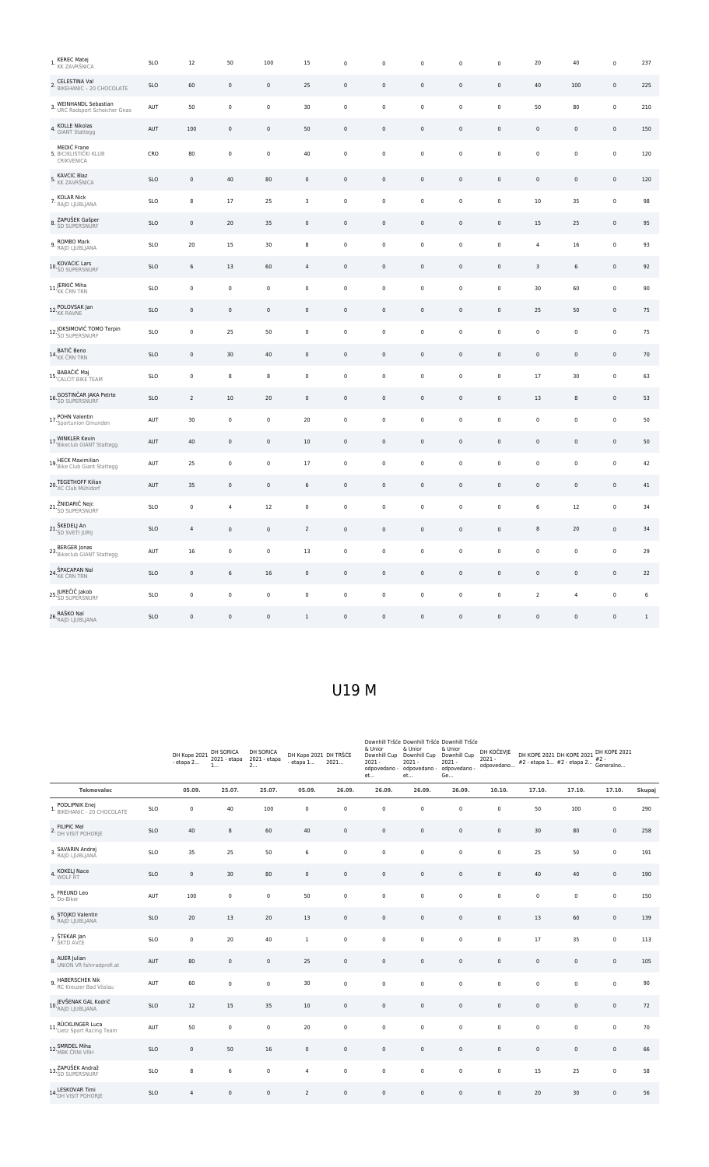| <b>KEREC Matej</b><br>1. KK ZAVRŠNICA                 | <b>SLO</b> | 12             | 50             | 100          | 15               | $\pmb{0}$   | $\mathbf 0$ | $\Omega$     | $\pmb{0}$           | 0                   | 20                  | 40             | $\mathbf 0$         | 237   |
|-------------------------------------------------------|------------|----------------|----------------|--------------|------------------|-------------|-------------|--------------|---------------------|---------------------|---------------------|----------------|---------------------|-------|
| 2. CELESTINA Val<br>2. BIKEHANIC - 20 CHOCOLATE       | <b>SLO</b> | 60             | $\mathbb O$    | $\mathbf 0$  | 25               | $\mathbf 0$ | $\pmb{0}$   | $\mathsf 0$  | $\mathbf 0$         | $\mathbf 0$         | 40                  | 100            | $\mathbb O$         | 225   |
| 3. WEINHANDL Sebastian<br>URC Radsport Scheicher Gnas | AUT        | 50             | $\mathbf 0$    | $\mathbf 0$  | 30               | $\mathbf 0$ | $\pmb{0}$   | 0            | $\mathbf 0$         | $\pmb{0}$           | 50                  | 80             | $\mathbf 0$         | 210   |
| 4. KOLLE Nikolas<br>GIANT Stattegg                    | AUT        | 100            | $\mathbf 0$    | $\mathbf 0$  | 50               | $\pmb{0}$   | $\pmb{0}$   | $\mathsf 0$  | $\mathsf{O}\xspace$ | $\mathsf{0}$        | $\mathsf{O}\xspace$ | $\mathbf 0$    | $\mathbb O$         | 150   |
| MEDIĆ Frane<br>5. BICIKLISTIČKI KLUB<br>CRIKVENICA    | CRO        | 80             | $\mathbf 0$    | $\mathbf 0$  | 40               | $\mathbf 0$ | $\pmb{0}$   | $\mathbf 0$  | $\pmb{0}$           | $\pmb{0}$           | $\pmb{0}$           | $\mathbf 0$    | $\mathbf 0$         | 120   |
| 5. KAVCIC Blaz<br>5. KK ZAVRŠNICA                     | <b>SLO</b> | $\mathbf 0$    | 40             | 80           | $\pmb{0}$        | $\mathbf 0$ | $\mathbf 0$ | $\mathbf 0$  | $\mathbf 0$         | $\mathbf 0$         | 0                   | $\,0\,$        | $\mathbf 0$         | 120   |
| 7. KOLAR Nick<br>RAJD LJUBLJANA                       | <b>SLO</b> | 8              | 17             | 25           | 3                | $\pmb{0}$   | $\pmb{0}$   | $\pmb{0}$    | $\pmb{0}$           | $\pmb{0}$           | 10                  | 35             | $\pmb{0}$           | 98    |
| 8. ZAPUŠEK Gašper                                     | <b>SLO</b> | $\pmb{0}$      | 20             | 35           | $\pmb{0}$        | $\mathbf 0$ | $\pmb{0}$   | $\mathsf 0$  | $\mathbf 0$         | $\pmb{0}$           | 15                  | 25             | $\mathbb O$         | 95    |
| 9. ROMBO Mark<br>RAJD LJUBLJANA                       | <b>SLO</b> | 20             | 15             | 30           | 8                | $\mathbf 0$ | $\pmb{0}$   | 0            | $\pmb{0}$           | 0                   | 4                   | 16             | $\mathbf 0$         | 93    |
| 10. KOVACIC Lars<br>10. ŠD SUPERSNURF                 | <b>SLO</b> | 6              | 13             | 60           | $\sqrt{4}$       | $\pmb{0}$   | $\pmb{0}$   | $\pmb{0}$    | $\mathsf{O}\xspace$ | $\pmb{0}$           | 3                   | 6              | $\mathsf{O}\xspace$ | 92    |
| 11. JERKIČ Miha                                       | <b>SLO</b> | $\pmb{0}$      | $\pmb{0}$      | $\pmb{0}$    | $\pmb{0}$        | $\pmb{0}$   | $\pmb{0}$   | $\pmb{0}$    | $\pmb{0}$           | $\mathbf 0$         | 30                  | 60             | $\pmb{0}$           | 90    |
| 12. POLOVSAK Jan                                      | <b>SLO</b> | $\pmb{0}$      | $\mathbf 0$    | $\mathsf{0}$ | $\pmb{0}$        | $\pmb{0}$   | $\pmb{0}$   | $\mathbf 0$  | $\pmb{0}$           | $\pmb{0}$           | 25                  | 50             | $\mathbb O$         | 75    |
| 12. JOKSIMOVIĆ TOMO Terpin                            | <b>SLO</b> | $\mathbf 0$    | 25             | 50           | $\pmb{0}$        | $\mathbf 0$ | $\pmb{0}$   | $\mathsf 0$  | $\pmb{0}$           | $\pmb{0}$           | $\mathsf 0$         | $\pmb{0}$      | $\pmb{0}$           | 75    |
| 14. BATIČ Beno<br>14. KK ČRN TRN                      | <b>SLO</b> | $\,0\,$        | 30             | 40           | $\pmb{0}$        | $\,0\,$     | $\mathbf 0$ | $\mathbf 0$  | $\pmb{0}$           | $\pmb{0}$           | 0                   | $\mathbf 0$    | $\mathbf 0$         | 70    |
| 15. BABAČIČ Maj<br>CALCIT BIKE TEAM                   | <b>SLO</b> | $\pmb{0}$      | 8              | 8            | $\pmb{0}$        | $\pmb{0}$   | $\pmb{0}$   | $\pmb{0}$    | $\pmb{0}$           | $\pmb{0}$           | 17                  | 30             | $\pmb{0}$           | 63    |
| 16. GOSTINČAR JAKA Petrte                             | <b>SLO</b> | $\overline{2}$ | 10             | 20           | $\pmb{0}$        | $\mathsf 0$ | $\pmb{0}$   | $\mathbf 0$  | $\mathsf{O}\xspace$ | $\mathsf{0}$        | 13                  | 8              | $\mathbb O$         | 53    |
| 17. POHN Valentin<br>17. Sportunion Gmunden           | AUT        | 30             | $\mathbf 0$    | 0            | 20               | $\pmb{0}$   | $\pmb{0}$   | 0            | $\pmb{0}$           | 0                   | 0                   | 0              | $\pmb{0}$           | 50    |
| 17. WINKLER Kevin<br>17. Bikeclub GIANT Stattegg      | AUT        | 40             | $\mathbf 0$    | $\mathsf 0$  | 10               | $\mathbf 0$ | $\pmb{0}$   | $\mathsf 0$  | $\mathbf 0$         | $\pmb{0}$           | $\mathsf{O}\xspace$ | $\mathbf 0$    | $\mathbf 0$         | 50    |
| 19. HECK Maximilian<br>19. Bike Club Giant Stattegg   | AUT        | 25             | $\pmb{0}$      | $\pmb{0}$    | 17               | $\pmb{0}$   | $\pmb{0}$   | $\pmb{0}$    | $\pmb{0}$           | $\pmb{0}$           | 0                   | $\pmb{0}$      | $\pmb{0}$           | 42    |
| 20. TEGETHOFF Kilian<br>XC Club Mühldorf              | AUT        | 35             | $\mathsf 0$    | $\mathsf 0$  | $\boldsymbol{6}$ | $\mathbf 0$ | $\mathbb O$ | $\mathbf 0$  | $\mathsf{O}\xspace$ | $\mathsf{O}\xspace$ | $\mathsf{O}\xspace$ | $\mathsf 0$    | $\mathbb O$         | 41    |
| 21. ŽNIDARIČ Nejc                                     | <b>SLO</b> | $\pmb{0}$      | $\overline{4}$ | 12           | $\pmb{0}$        | $\pmb{0}$   | $\pmb{0}$   | 0            | $\pmb{0}$           | 0                   | 6                   | 12             | $\mathbf 0$         | 34    |
| 21.ŠKEDELJ An<br>21. <sub>ŠD SVETI JURIJ</sub>        | <b>SLO</b> | $\sqrt{4}$     | $\mathbf 0$    | $\mathsf{0}$ | $\overline{2}$   | $\mathbf 0$ | $\pmb{0}$   | $\pmb{0}$    | $\mathsf{O}\xspace$ | $\pmb{0}$           | 8                   | 20             | $\mathsf{O}\xspace$ | 34    |
| 23. BERGER Jonas<br>Bikeclub GIANT Stattegg           | AUT        | 16             | $\pmb{0}$      | $\mathbf 0$  | 13               | $\pmb{0}$   | $\pmb{0}$   | $\mathbf 0$  | $\pmb{0}$           | $\pmb{0}$           | $\mathsf{O}\xspace$ | $\mathbf 0$    | $\pmb{0}$           | 29    |
| 24. ŠPACAPAN Nal                                      | <b>SLO</b> | $\pmb{0}$      | 6              | 16           | $\pmb{0}$        | $\pmb{0}$   | $\pmb{0}$   | $\pmb{0}$    | $\mathsf{O}\xspace$ | $\pmb{0}$           | $\pmb{0}$           | $\pmb{0}$      | $\mathsf{O}\xspace$ | 22    |
| 25. JUREČIČ Jakob<br>25. ŠD SUPERSNURF                | <b>SLO</b> | $\mathbf 0$    | $\mathbb O$    | $\mathbf 0$  | $\pmb{0}$        | $\mathbf 0$ | $\pmb{0}$   | $\mathsf 0$  | $\mathbf 0$         | $\pmb{0}$           | $\overline{2}$      | $\overline{4}$ | $\pmb{0}$           | 6     |
| 26. RAŠKO Nal<br>Prajd Ljubljana                      | <b>SLO</b> | $\pmb{0}$      | $\mathbf 0$    | 0            | 1                | $\pmb{0}$   | $\mathbf 0$ | $\mathbf{0}$ | $\pmb{0}$           | 0                   | 0                   | 0              | $\mathsf{O}\xspace$ | $1\,$ |

## U19 M

|                                                          |            | DH Kope 2021<br>- etapa 2 | DH SORICA<br>2021 - etapa<br>1 | DH SORICA<br>2021 - etapa<br>2 | DH Kope 2021 DH TRŠĆE<br>- etapa 1 | 2021                | & Unior<br>$2021 -$<br>odpovedano -<br>et | Downhill Tršće Downhill Tršće Downhill Tršće<br>& Unior<br>Downhill Cup Downhill Cup<br>$2021 -$<br>odpovedano -<br>et | & Unior<br>Downhill Cup<br>$2021 -$<br>odpovedano -<br>Ge | DH KOČEVJE<br>$2021 -$<br>odpovedano | DH KOPE 2021 DH KOPE 2021<br>$#2$ - etapa 1 $#2$ - etapa 2 $#2$ -<br>(Generalno |             | DH KOPE 2021<br>$#2 -$ |        |
|----------------------------------------------------------|------------|---------------------------|--------------------------------|--------------------------------|------------------------------------|---------------------|-------------------------------------------|------------------------------------------------------------------------------------------------------------------------|-----------------------------------------------------------|--------------------------------------|---------------------------------------------------------------------------------|-------------|------------------------|--------|
| <b>Tekmovalec</b>                                        |            | 05.09.                    | 25.07.                         | 25.07.                         | 05.09.                             | 26.09.              | 26.09.                                    | 26.09.                                                                                                                 | 26.09.                                                    | 10.10.                               | 17.10.                                                                          | 17.10.      | 17.10.                 | Skupaj |
| 1. PODLIPNIK Enej<br>1. BIKEHANIC - 20 CHOCOLATE         | <b>SLO</b> | $\mathbf 0$               | 40                             | 100                            | $\pmb{0}$                          | $\pmb{0}$           | $\mathbf 0$                               | $\pmb{0}$                                                                                                              | $\pmb{0}$                                                 | $\mathbf 0$                          | 50                                                                              | 100         | $\pmb{0}$              | 290    |
| 2. FILIPIC Mel<br>2. DH VISIT POHORJE                    | <b>SLO</b> | 40                        | 8                              | 60                             | 40                                 | $\mathsf 0$         | $\pmb{0}$                                 | $\mathsf 0$                                                                                                            | $\mathsf 0$                                               | 0                                    | 30                                                                              | 80          | 0                      | 258    |
| 3. SAVARIN Andrej<br>RAJD LJUBLJANA                      | <b>SLO</b> | 35                        | 25                             | 50                             | 6                                  | $\mathbf 0$         | $\mathbf 0$                               | $\pmb{0}$                                                                                                              | $\mathsf{O}\xspace$                                       | $\mathbf 0$                          | 25                                                                              | 50          | 0                      | 191    |
| 4. KOKELJ Nace                                           | <b>SLO</b> | $\mathbf 0$               | 30                             | 80                             | $\mathbf 0$                        | $\mathsf 0$         | $\mathbf 0$                               | $\mathsf 0$                                                                                                            | $\mathsf 0$                                               | $\mathbf 0$                          | 40                                                                              | 40          | $\mathsf 0$            | 190    |
| 5. FREUND Leo                                            | AUT        | 100                       | $\pmb{0}$                      | $\mathbf 0$                    | 50                                 | $\mathbf 0$         | $\mathbf 0$                               | $\pmb{0}$                                                                                                              | $\mathsf 0$                                               | $\mathbf 0$                          | $\pmb{0}$                                                                       | $\mathbf 0$ | 0                      | 150    |
| 6. STOJKO Valentin<br>RAJD LJUBLJANA                     | <b>SLO</b> | 20                        | 13                             | 20                             | 13                                 | $\pmb{0}$           | $\pmb{0}$                                 | $\mathbf 0$                                                                                                            | $\mathsf{O}\xspace$                                       | 0                                    | 13                                                                              | 60          | $\mathsf 0$            | 139    |
| 7. ŠTEKAR Jan                                            | SLO        | $\mathbf 0$               | 20                             | 40                             | $\mathbf{1}$                       | $\mathbf 0$         | $\mathbf 0$                               | $\pmb{0}$                                                                                                              | $\mathsf{O}\xspace$                                       | $\mathbf 0$                          | 17                                                                              | 35          | $\mathsf{O}\xspace$    | 113    |
| 8. AUER Julian<br>8. UNION VR fahrradprofi.at            | AUT        | 80                        | $\mathbf 0$                    | $\mathbf 0$                    | 25                                 | $\mathsf 0$         | $\mathbf 0$                               | $\mathsf{O}\xspace$                                                                                                    | $\mathsf 0$                                               | $\mathbf 0$                          | $\mathbf 0$                                                                     | $\mathbf 0$ | $\mathsf 0$            | 105    |
| 9. HABERSCHEK Nik<br>RC Kreuzer Bad Vöslau               | AUT        | 60                        | $\pmb{0}$                      | $\mathbf 0$                    | 30                                 | $\mathbf 0$         | $\pmb{0}$                                 | $\pmb{0}$                                                                                                              | $\pmb{0}$                                                 | $\mathbf 0$                          | $\pmb{0}$                                                                       | $\mathbf 0$ | $\mathsf{O}\xspace$    | 90     |
| 10. JEVŠENAK GAL Kodrič<br>10. <sub>RAJD LJUBLJANA</sub> | SLO        | 12                        | 15                             | 35                             | 10                                 | $\mathsf 0$         | $\mathbf 0$                               | $\pmb{0}$                                                                                                              | $\mathsf{O}\xspace$                                       | $\mathbf 0$                          | $\pmb{0}$                                                                       | $\mathbf 0$ | $\mathsf 0$            | 72     |
| 11. RÜCKLINGER Luca<br>Lietz Sport Racing Team           | AUT        | 50                        | $\pmb{0}$                      | $\mathsf 0$                    | 20                                 | $\pmb{0}$           | $\pmb{0}$                                 | $\pmb{0}$                                                                                                              | $\mathsf{O}\xspace$                                       | $\mathsf 0$                          | $\pmb{0}$                                                                       | $\pmb{0}$   | $\mathsf{O}\xspace$    | 70     |
| 12. SMRDEL Miha                                          | <b>SLO</b> | $\mathsf 0$               | 50                             | 16                             | $\mathsf 0$                        | $\mathsf 0$         | $\mathbb O$                               | $\mathsf{O}\xspace$                                                                                                    | $\mathsf 0$                                               | $\mathsf 0$                          | $\pmb{0}$                                                                       | $\mathsf 0$ | $\mathsf 0$            | 66     |
| 13. ZAPUŠEK Andraž                                       | SLO        | $\bf 8$                   | $\boldsymbol{6}$               | $\mathbf 0$                    | $\overline{4}$                     | $\mathsf{O}\xspace$ | $\mathbb O$                               | $\mathsf 0$                                                                                                            | $\mathsf 0$                                               | $\mathbf 0$                          | 15                                                                              | 25          | $\mathsf{O}\xspace$    | 58     |
| 14. LESKOVAR Timi<br>14. DH VISIT POHORJE                | <b>SLO</b> | $\overline{4}$            | $\mathbf 0$                    | $\mathsf 0$                    | $\overline{2}$                     | $\mathsf 0$         | $\mathbf 0$                               | $\mathsf 0$                                                                                                            | $\mathsf 0$                                               | 0                                    | 20                                                                              | 30          | 0                      | 56     |